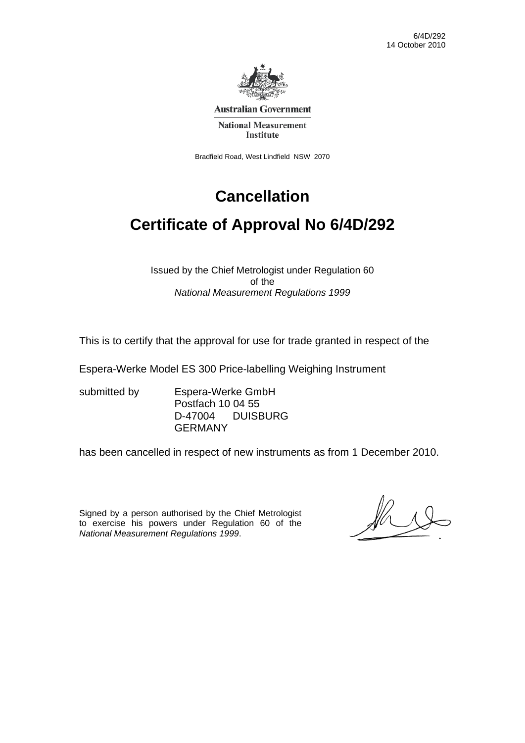6/4D/292 14 October 2010



**Australian Government** 

**National Measurement Institute** 

Bradfield Road, West Lindfield NSW 2070

# **Cancellation**

# **Certificate of Approval No 6/4D/292**

Issued by the Chief Metrologist under Regulation 60 of the *National Measurement Regulations 1999* 

This is to certify that the approval for use for trade granted in respect of the

Espera-Werke Model ES 300 Price-labelling Weighing Instrument

submitted by Espera-Werke GmbH Postfach 10 04 55 D-47004 DUISBURG GERMANY

has been cancelled in respect of new instruments as from 1 December 2010.

Signed by a person authorised by the Chief Metrologist to exercise his powers under Regulation 60 of the *National Measurement Regulations 1999*.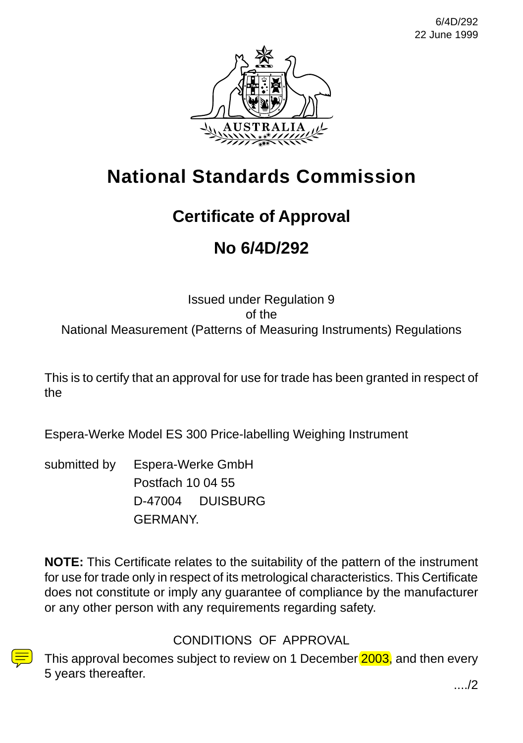6/4D/292 22 June 1999



# **National Standards Commission**

# **Certificate of Approval**

# **No 6/4D/292**

Issued under Regulation 9 of the National Measurement (Patterns of Measuring Instruments) Regulations

This is to certify that an approval for use for trade has been granted in respect of the

Espera-Werke Model ES 300 Price-labelling Weighing Instrument

submitted by Espera-Werke GmbH Postfach 10 04 55 D-47004 DUISBURG GERMANY.

**NOTE:** This Certificate relates to the suitability of the pattern of the instrument for use for trade only in respect of its metrological characteristics. This Certificate does not constitute or imply any guarantee of compliance by the manufacturer or any other person with any requirements regarding safety.

CONDITIONS OF APPROVAL

This approval becomes subject to review on 1 December 2003, and then every 5 years thereafter. **Example 20** in the set of the set of the set of the set of the set of the set of the set of the set of the set of the set of the set of the set of the set of the set of the set of the set of the set of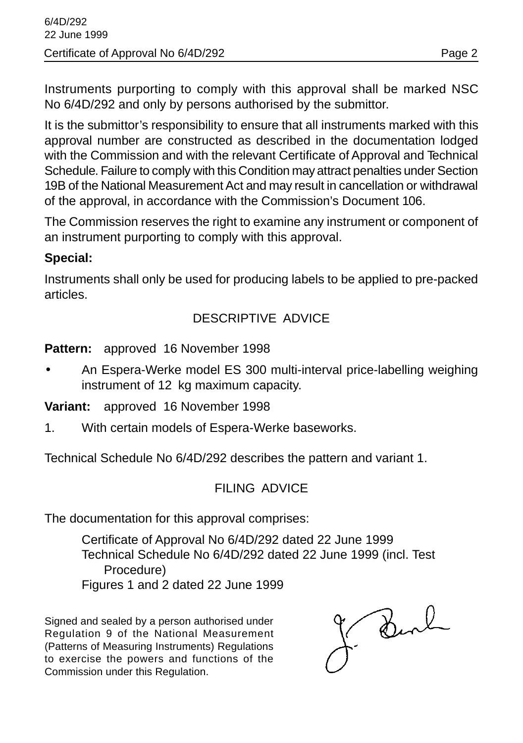Instruments purporting to comply with this approval shall be marked NSC No 6/4D/292 and only by persons authorised by the submittor.

It is the submittor's responsibility to ensure that all instruments marked with this approval number are constructed as described in the documentation lodged with the Commission and with the relevant Certificate of Approval and Technical Schedule. Failure to comply with this Condition may attract penalties under Section 19B of the National Measurement Act and may result in cancellation or withdrawal of the approval, in accordance with the Commission's Document 106.

The Commission reserves the right to examine any instrument or component of an instrument purporting to comply with this approval.

#### **Special:**

Instruments shall only be used for producing labels to be applied to pre-packed articles.

#### DESCRIPTIVE ADVICE

**Pattern:** approved 16 November 1998

• An Espera-Werke model ES 300 multi-interval price-labelling weighing instrument of 12 kg maximum capacity.

**Variant:** approved 16 November 1998

1. With certain models of Espera-Werke baseworks.

Technical Schedule No 6/4D/292 describes the pattern and variant 1.

# FILING ADVICE

The documentation for this approval comprises:

Certificate of Approval No 6/4D/292 dated 22 June 1999 Technical Schedule No 6/4D/292 dated 22 June 1999 (incl. Test Procedure) Figures 1 and 2 dated 22 June 1999

Signed and sealed by a person authorised under Regulation 9 of the National Measurement (Patterns of Measuring Instruments) Regulations to exercise the powers and functions of the Commission under this Regulation.

J. Burl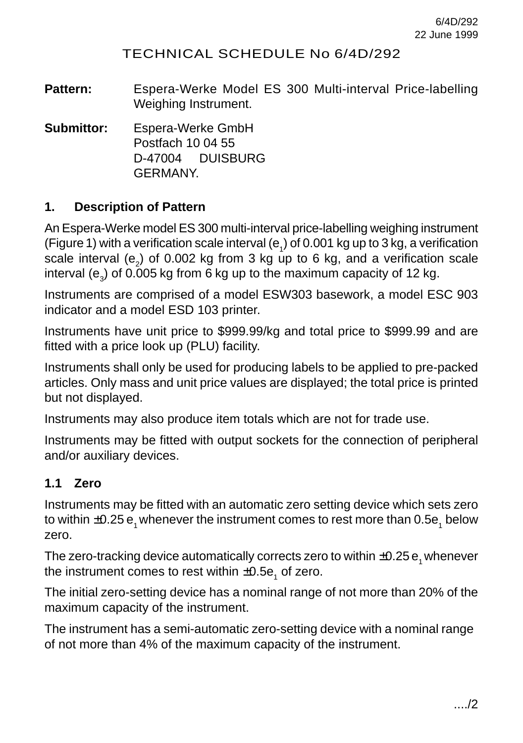### TECHNICAL SCHEDULE No 6/4D/292

**Pattern:** Espera-Werke Model ES 300 Multi-interval Price-labelling Weighing Instrument.

**Submittor:** Espera-Werke GmbH Postfach 10 04 55 D-47004 DUISBURG GERMANY.

#### **1. Description of Pattern**

An Espera-Werke model ES 300 multi-interval price-labelling weighing instrument (Figure 1) with a verification scale interval (e<sub>1</sub>) of 0.001 kg up to 3 kg, a verification scale interval (e<sub>2</sub>) of 0.002 kg from 3 kg up to 6 kg, and a verification scale interval (e $_{\text{\tiny 3}}$ ) of 0.005 kg from 6 kg up to the maximum capacity of 12 kg.

Instruments are comprised of a model ESW303 basework, a model ESC 903 indicator and a model ESD 103 printer.

Instruments have unit price to \$999.99/kg and total price to \$999.99 and are fitted with a price look up (PLU) facility.

Instruments shall only be used for producing labels to be applied to pre-packed articles. Only mass and unit price values are displayed; the total price is printed but not displayed.

Instruments may also produce item totals which are not for trade use.

Instruments may be fitted with output sockets for the connection of peripheral and/or auxiliary devices.

#### **1.1 Zero**

Instruments may be fitted with an automatic zero setting device which sets zero to within  $\pm$ 0.25  ${\tt e}^{}_i$  whenever the instrument comes to rest more than 0.5e $^{}_i$  below zero.

The zero-tracking device automatically corrects zero to within  $\pm 0.25$  e, whenever the instrument comes to rest within  $\pm 0.5 \mathsf{e}^{\vphantom{\dagger}}_{1}$  of zero.

The initial zero-setting device has a nominal range of not more than 20% of the maximum capacity of the instrument.

The instrument has a semi-automatic zero-setting device with a nominal range of not more than 4% of the maximum capacity of the instrument.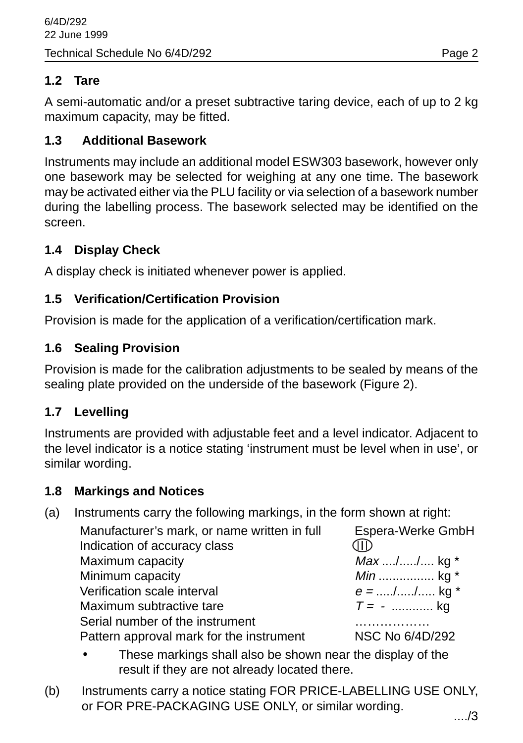# **1.2 Tare**

A semi-automatic and/or a preset subtractive taring device, each of up to 2 kg maximum capacity, may be fitted.

### **1.3 Additional Basework**

Instruments may include an additional model ESW303 basework, however only one basework may be selected for weighing at any one time. The basework may be activated either via the PLU facility or via selection of a basework number during the labelling process. The basework selected may be identified on the screen.

### **1.4 Display Check**

A display check is initiated whenever power is applied.

### **1.5 Verification/Certification Provision**

Provision is made for the application of a verification/certification mark.

# **1.6 Sealing Provision**

Provision is made for the calibration adjustments to be sealed by means of the sealing plate provided on the underside of the basework (Figure 2).

#### **1.7 Levelling**

Instruments are provided with adjustable feet and a level indicator. Adjacent to the level indicator is a notice stating 'instrument must be level when in use', or similar wording.

#### **1.8 Markings and Notices**

(a) Instruments carry the following markings, in the form shown at right:

| Manufacturer's mark, or name written in full | Espera-Werke GmbH |
|----------------------------------------------|-------------------|
| Indication of accuracy class                 | M                 |
| Maximum capacity                             | $Max  /  / $ kg * |
| Minimum capacity                             | <i>Min</i> kg $*$ |
| Verification scale interval                  | $e =$ // kg *     |
| Maximum subtractive tare                     | $T = -$ kg        |
| Serial number of the instrument              |                   |
| Pattern approval mark for the instrument     | NSC No 6/4D/292   |

- These markings shall also be shown near the display of the result if they are not already located there.
- (b) Instruments carry a notice stating FOR PRICE-LABELLING USE ONLY, or FOR PRE-PACKAGING USE ONLY, or similar wording.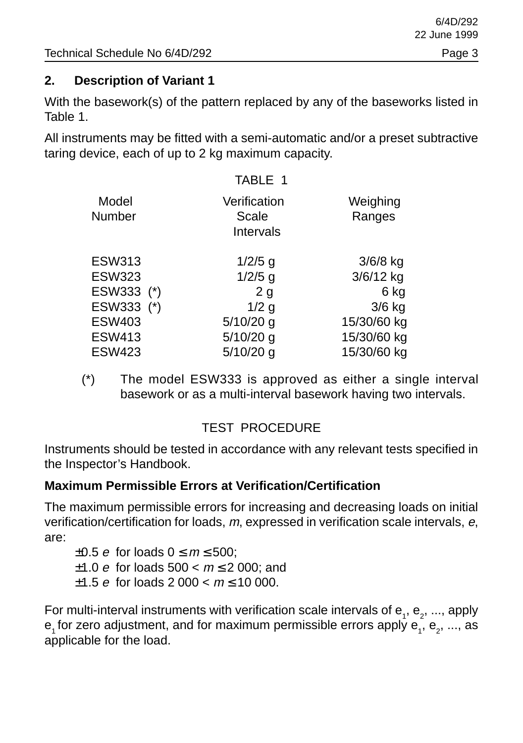### **2. Description of Variant 1**

With the basework(s) of the pattern replaced by any of the baseworks listed in Table 1.

All instruments may be fitted with a semi-automatic and/or a preset subtractive taring device, each of up to 2 kg maximum capacity.

|                        | TABLE 1                                   |                    |
|------------------------|-------------------------------------------|--------------------|
| Model<br><b>Number</b> | Verification<br><b>Scale</b><br>Intervals | Weighing<br>Ranges |
| <b>ESW313</b>          | $1/2/5$ g                                 | $3/6/8$ kg         |
| <b>ESW323</b>          | $1/2/5$ g                                 | 3/6/12 kg          |
| ESW333 (*)             | 2 <sub>q</sub>                            | 6 kg               |
| ESW333 (*)             | $1/2$ g                                   | $3/6$ kg           |
| <b>ESW403</b>          | $5/10/20$ g                               | 15/30/60 kg        |
| <b>ESW413</b>          | $5/10/20$ g                               | 15/30/60 kg        |
| <b>ESW423</b>          | $5/10/20$ g                               | 15/30/60 kg        |

(\*) The model ESW333 is approved as either a single interval basework or as a multi-interval basework having two intervals.

# TEST PROCEDURE

Instruments should be tested in accordance with any relevant tests specified in the Inspector's Handbook.

#### **Maximum Permissible Errors at Verification/Certification**

The maximum permissible errors for increasing and decreasing loads on initial verification/certification for loads, m, expressed in verification scale intervals, e, are:

 $\pm 0.5$  e for loads  $0 \le m \le 500$ ;  $±1.0 e$  for loads 500 <  $m \le 2$  000; and  $\pm$ 1.5 e for loads 2 000 <  $m \le 10$  000.

For multi-interval instruments with verification scale intervals of  ${\sf e}_{_1},$   ${\sf e}_{_2},$  ..., apply  ${\sf e}_{\scriptscriptstyle 1}$ for zero adjustment, and for maximum permissible errors apply  ${\sf e}_{\scriptscriptstyle 1}^{} ,$   ${\sf e}_{\scriptscriptstyle 2}^{} ,$  ..., as applicable for the load.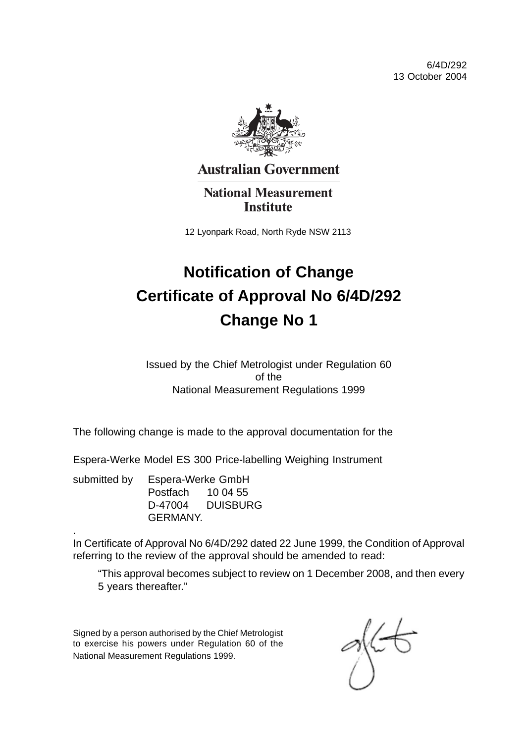6/4D/292 13 October 2004



**Australian Government** 

**National Measurement Institute** 

12 Lyonpark Road, North Ryde NSW 2113

# **Notification of Change Certificate of Approval No 6/4D/292 Change No 1**

Issued by the Chief Metrologist under Regulation 60 of the National Measurement Regulations 1999

The following change is made to the approval documentation for the

Espera-Werke Model ES 300 Price-labelling Weighing Instrument

submitted by Espera-Werke GmbH Postfach 10 04 55 D-47004 DUISBURG **GERMANY** 

.

In Certificate of Approval No 6/4D/292 dated 22 June 1999, the Condition of Approval referring to the review of the approval should be amended to read:

"This approval becomes subject to review on 1 December 2008, and then every 5 years thereafter."

Signed by a person authorised by the Chief Metrologist to exercise his powers under Regulation 60 of the National Measurement Regulations 1999.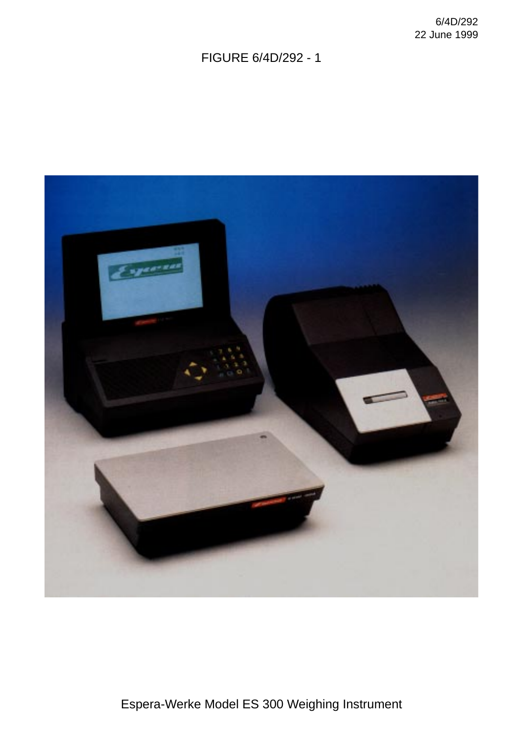FIGURE 6/4D/292 - 1